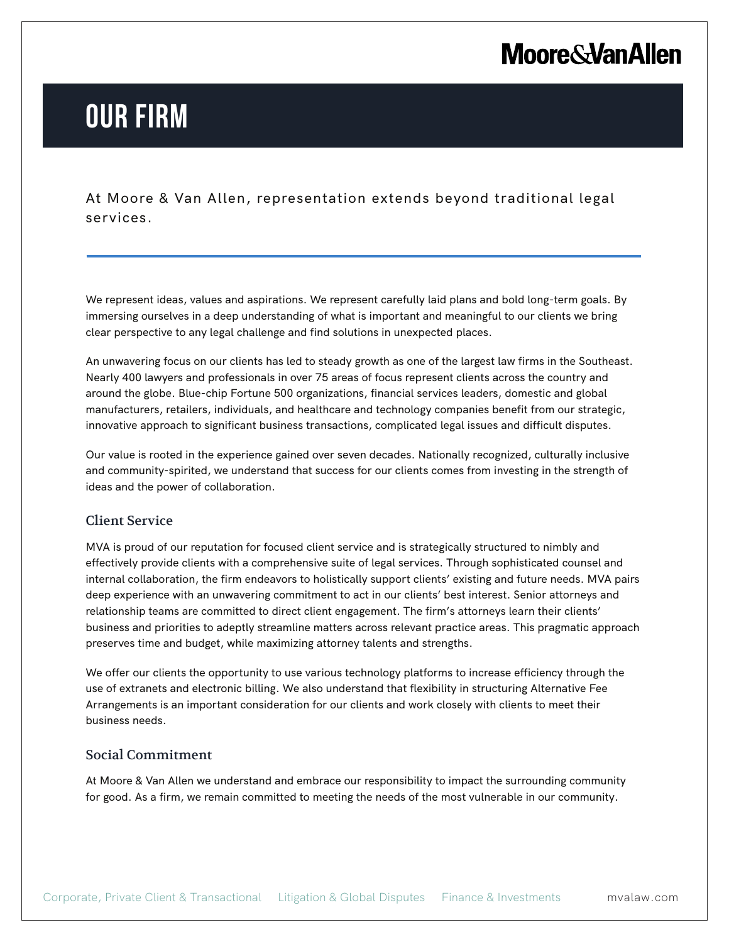## **Moore & Van Allen**

# **OUR FIRM**

L

At Moore & Van Allen, representation extends beyond traditional legal services.

We represent ideas, values and aspirations. We represent carefully laid plans and bold long-term goals. By immersing ourselves in a deep understanding of what is important and meaningful to our clients we bring clear perspective to any legal challenge and find solutions in unexpected places.

An unwavering focus on our clients has led to steady growth as one of the largest law firms in the Southeast. Nearly 400 lawyers and professionals in over 75 areas of focus represent clients across the country and around the globe. Blue-chip Fortune 500 organizations, financial services leaders, domestic and global manufacturers, retailers, individuals, and healthcare and technology companies benefit from our strategic, innovative approach to significant business transactions, complicated legal issues and difficult disputes.

Our value is rooted in the experience gained over seven decades. Nationally recognized, culturally inclusive and community-spirited, we understand that success for our clients comes from investing in the strength of ideas and the power of collaboration.

### Client Service

MVA is proud of our reputation for focused client service and is strategically structured to nimbly and effectively provide clients with a comprehensive suite of legal services. Through sophisticated counsel and internal collaboration, the firm endeavors to holistically support clients' existing and future needs. MVA pairs deep experience with an unwavering commitment to act in our clients' best interest. Senior attorneys and relationship teams are committed to direct client engagement. The firm's attorneys learn their clients' business and priorities to adeptly streamline matters across relevant practice areas. This pragmatic approach preserves time and budget, while maximizing attorney talents and strengths.

We offer our clients the opportunity to use various technology platforms to increase efficiency through the use of extranets and electronic billing. We also understand that flexibility in structuring Alternative Fee Arrangements is an important consideration for our clients and work closely with clients to meet their business needs.

#### Social Commitment

At Moore & Van Allen we understand and embrace our responsibility to impact the surrounding community for good. As a firm, we remain committed to meeting the needs of the most vulnerable in our community.